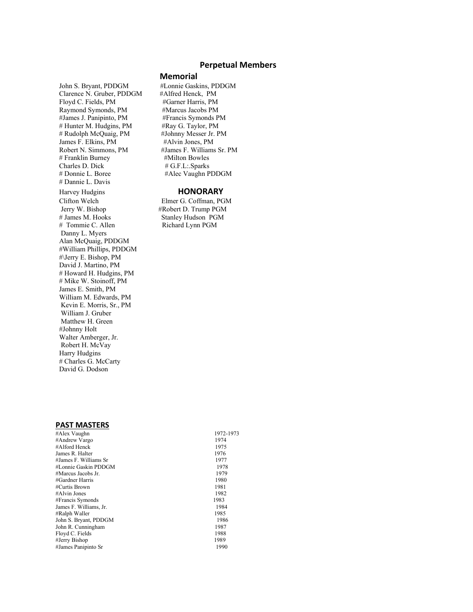#### **Perpetual Members**

#### **Memorial**

#Alec Vaughn PDDGM

Stanley Hudson PGM

John S. Bryant, PDDGM #Lonnie Gaskins, PDDGM Clarence N. Gruber, PDDGM #Alfred Henck, PM Floyd C. Fields, PM #Garner Harris, PM Raymond Symonds, PM #Marcus Jacobs PM #James J. Panipinto, PM #Francis Symonds PM # Hunter M. Hudgins, PM #Ray G. Taylor, PM # Rudolph McQuaig, PM #Johnny Messer Jr. PM James F. Elkins, PM #Alvin Jones, PM Robert N. Simmons, PM #James F. Williams Sr. PM # Franklin Burney #Milton Bowles Charles D. Dick # G.F.L:.Sparks<br># Donnie L. Boree #Alec Vaughn P # Dannie L. Davis Harvey Hudgins<br>
Clifton Welch<br>
Elmer G. Coffman, PC Clifton Welch Elmer G. Coffman, PGM<br>Jerry W. Bishop #Robert D. Trump PGM Jerry W. Bishop #Robert D. Trump PGM<br># James M. Hooks Stanley Hudson PGM # Tommie C. Allen Richard Lynn PGM Danny L. Myers Alan McQuaig, PDDGM #William Phillips, PDDGM #\Jerry E. Bishop, PM David J. Martino, PM # Howard H. Hudgins, PM # Mike W. Stoinoff, PM James E. Smith, PM William M. Edwards, PM Kevin E. Morris, Sr., PM William J. Gruber Matthew H. Green #Johnny Holt Walter Amberger, Jr. Robert H. McVay Harry Hudgins # Charles G. McCarty David G. Dodson

#### **PAST MASTERS**

| #Alex Vaughn           | 1972-1973 |
|------------------------|-----------|
| #Andrew Vargo          | 1974      |
| #Alford Henck          | 1975      |
| James R. Halter        | 1976      |
| #James F. Williams Sr  | 1977      |
| #Lonnie Gaskin PDDGM   | 1978      |
| #Marcus Jacobs Jr.     | 1979      |
| #Gardner Harris        | 1980      |
| #Curtis Brown          | 1981      |
| #Alvin Jones           | 1982      |
| #Francis Symonds       | 1983      |
| James F. Williams, Jr. | 1984      |
| #Ralph Waller          | 1985      |
| John S. Bryant, PDDGM  | 1986      |
| John R. Cunningham     | 1987      |
| Floyd C. Fields        | 1988      |
| #Jerry Bishop          | 1989      |
| #James Panipinto Sr    | 1990      |
|                        |           |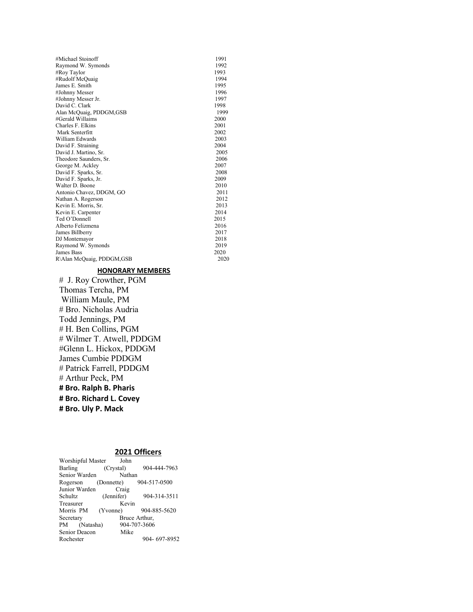| #Michael Stoinoff         | 1991 |
|---------------------------|------|
| Raymond W. Symonds        | 1992 |
| #Roy Taylor               | 1993 |
| #Rudolf McQuaig           | 1994 |
| James E. Smith            | 1995 |
| #Johnny Messer            | 1996 |
| #Johnny Messer Jr.        | 1997 |
| David C. Clark            | 1998 |
| Alan McQuaig, PDDGM, GSB  | 1999 |
| #Gerald Willaims          | 2000 |
| Charles F. Elkins         | 2001 |
| Mark Senterfitt           | 2002 |
| William Edwards           | 2003 |
| David F. Straining        | 2004 |
| David J. Martino, Sr.     | 2005 |
| Theodore Saunders, Sr.    | 2006 |
| George M. Ackley          | 2007 |
| David F. Sparks, Sr.      | 2008 |
| David F. Sparks, Jr.      | 2009 |
| Walter D. Boone           | 2010 |
| Antonio Chavez, DDGM, GO  | 2011 |
| Nathan A. Rogerson        | 2012 |
| Kevin E. Morris, Sr.      | 2013 |
| Kevin E. Carpenter        | 2014 |
| Ted O'Donnell             | 2015 |
| Alberto Felizmena         | 2016 |
| James Billberry           | 2017 |
| DJ Montemayor             | 2018 |
| Raymond W. Symonds        | 2019 |
| James Bass                | 2020 |
| R\Alan McQuaig, PDDGM,GSB | 2020 |

# **HONORARY MEMBERS**

# J. Roy Crowther, PGM Thomas Tercha, PM William Maule, PM # Bro. Nicholas Audria Todd Jennings, PM # H. Ben Collins, PGM # Wilmer T. Atwell, PDDGM #Glenn L. Hickox, PDDGM James Cumbie PDDGM # Patrick Farrell, PDDGM # Arthur Peck, PM **# Bro. Ralph B. Pharis # Bro. Richard L. Covey # Bro. Uly P. Mack**

# **2021 Officers**

| Worshipful Master          | John       |              |  |  |  |
|----------------------------|------------|--------------|--|--|--|
| Barling                    | (Crystal)  | 904-444-7963 |  |  |  |
| Senior Warden              | Nathan     |              |  |  |  |
| Rogerson (Donnette)        |            | 904-517-0500 |  |  |  |
| Junior Warden<br>Craig     |            |              |  |  |  |
| Schultz                    | (Jennifer) | 904-314-3511 |  |  |  |
| Treasurer                  | Kevin      |              |  |  |  |
| Morris PM (Yvonne)         |            | 904-885-5620 |  |  |  |
| Secretary<br>Bruce Arthur, |            |              |  |  |  |
| PM (Natasha)               |            | 904-707-3606 |  |  |  |
| Senior Deacon              | Mike       |              |  |  |  |
| Rochester                  |            | 904-697-8952 |  |  |  |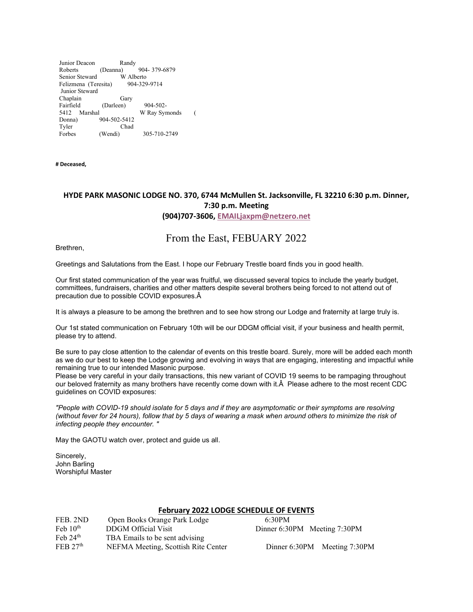Junior Deacon Randy<br>Roberts (Deanna) 904- 379-6879 Senior Steward<br>Felizmena (Teresita) 904-329-9714 Felizmena (Teresita) Junior Steward ChaplainGary Fairfield (Darleen) 904-502-<br>5412 Marshal W Rav Syn W Ray Symonds ( Donna) 904-502-5412<br>Tyler Chad Chad Forbes (Wendi) 305-710-2749

**# Deceased,** 

# **HYDE PARK MASONIC LODGE NO. 370, 6744 McMullen St. Jacksonville, FL 32210 6:30 p.m. Dinner, 7:30 p.m. Meeting (904)707-3606, [EMAILjaxpm@netzero.net](mailto:EMAILjaxpm@netzero.net)**

# From the East, FEBUARY 2022

Brethren,

Greetings and Salutations from the East. I hope our February Trestle board finds you in good health.

Our first stated communication of the year was fruitful, we discussed several topics to include the yearly budget, committees, fundraisers, charities and other matters despite several brothers being forced to not attend out of precaution due to possible COVID exposures.Â

It is always a pleasure to be among the brethren and to see how strong our Lodge and fraternity at large truly is.

Our 1st stated communication on February 10th will be our DDGM official visit, if your business and health permit, please try to attend.

Be sure to pay close attention to the calendar of events on this trestle board. Surely, more will be added each month as we do our best to keep the Lodge growing and evolving in ways that are engaging, interesting and impactful while remaining true to our intended Masonic purpose.

Please be very careful in your daily transactions, this new variant of COVID 19 seems to be rampaging throughout our beloved fraternity as many brothers have recently come down with it.Â Please adhere to the most recent CDC guidelines on COVID exposures:

*"People with COVID-19 should isolate for 5 days and if they are asymptomatic or their symptoms are resolving (without fever for 24 hours), follow that by 5 days of wearing a mask when around others to minimize the risk of infecting people they encounter. "*

May the GAOTU watch over, protect and guide us all.

Sincerely, John Barling Worshipful Master

## **February 2022 LODGE SCHEDULE OF EVENTS**

| FEB. 2ND             | Open Books Orange Park Lodge        | 6:30PM       |
|----------------------|-------------------------------------|--------------|
| Feb $10th$           | DDGM Official Visit                 | Dinner $6:3$ |
| Feb $24th$           | TBA Emails to be sent advising      |              |
| FEB 27 <sup>th</sup> | NEFMA Meeting, Scottish Rite Center | Dinner       |

Dinner 6:30PM Meeting 7:30PM

Dinner 6:30PM Meeting 7:30PM